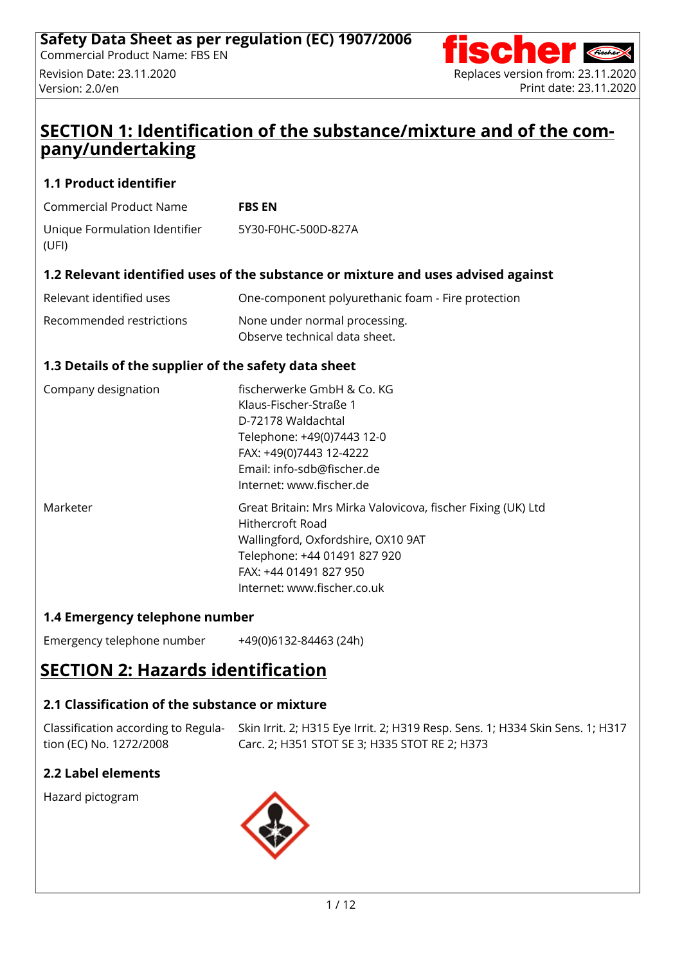

### **SECTION 1: Identification of the substance/mixture and of the company/undertaking**

#### **1.1 Product identifier**

| Commercial Product Name | <b>FBS EN</b> |
|-------------------------|---------------|
|                         |               |

| Unique Formulation Identifier | 5Y30-F0HC-500D-827A |
|-------------------------------|---------------------|
| (UFI)                         |                     |

#### **1.2 Relevant identified uses of the substance or mixture and uses advised against**

| Relevant identified uses | One-component polyurethanic foam - Fire protection |
|--------------------------|----------------------------------------------------|
| Recommended restrictions | None under normal processing.                      |
|                          | Observe technical data sheet.                      |

#### **1.3 Details of the supplier of the safety data sheet**

| Company designation | fischerwerke GmbH & Co. KG<br>Klaus-Fischer-Straße 1<br>D-72178 Waldachtal<br>Telephone: +49(0)7443 12-0<br>FAX: +49(0)7443 12-4222<br>Email: info-sdb@fischer.de<br>Internet: www.fischer.de                   |
|---------------------|-----------------------------------------------------------------------------------------------------------------------------------------------------------------------------------------------------------------|
| Marketer            | Great Britain: Mrs Mirka Valovicova, fischer Fixing (UK) Ltd<br>Hithercroft Road<br>Wallingford, Oxfordshire, OX10 9AT<br>Telephone: +44 01491 827 920<br>FAX: +44 01491 827 950<br>Internet: www.fischer.co.uk |

#### **1.4 Emergency telephone number**

Emergency telephone number +49(0)6132-84463 (24h)

# **SECTION 2: Hazards identification**

### **2.1 Classification of the substance or mixture**

tion (EC) No. 1272/2008

Classification according to Regula- Skin Irrit. 2; H315 Eye Irrit. 2; H319 Resp. Sens. 1; H334 Skin Sens. 1; H317 Carc. 2; H351 STOT SE 3; H335 STOT RE 2; H373

### **2.2 Label elements**

Hazard pictogram

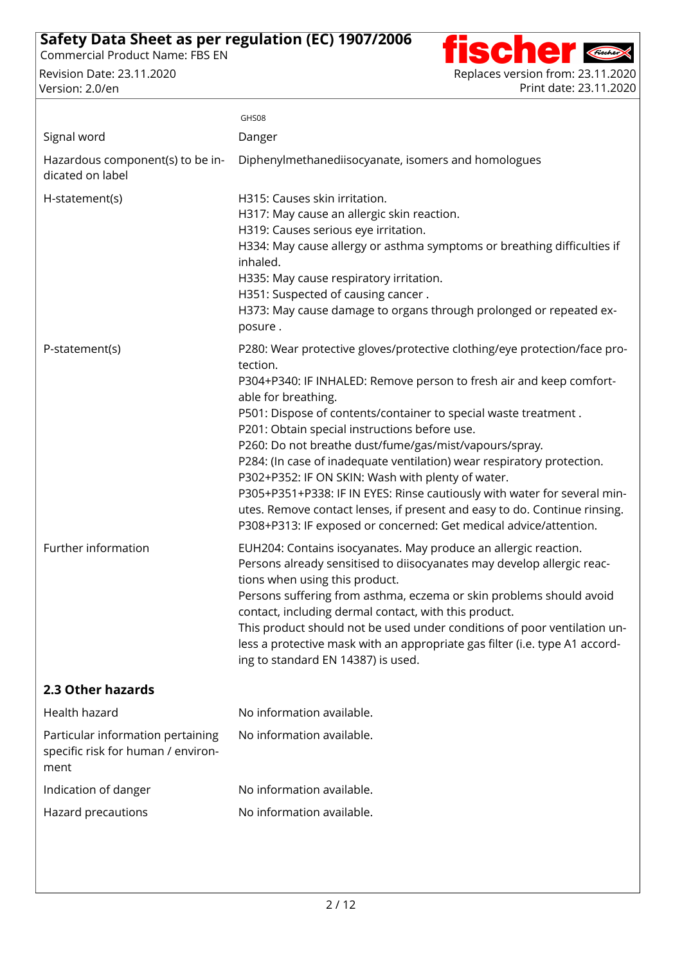

|                                                                                 | GHS08                                                                                                                                                                                                                                                                                                                                                                                                                                                                                                                                                                                                                                                                                                                          |
|---------------------------------------------------------------------------------|--------------------------------------------------------------------------------------------------------------------------------------------------------------------------------------------------------------------------------------------------------------------------------------------------------------------------------------------------------------------------------------------------------------------------------------------------------------------------------------------------------------------------------------------------------------------------------------------------------------------------------------------------------------------------------------------------------------------------------|
| Signal word                                                                     | Danger                                                                                                                                                                                                                                                                                                                                                                                                                                                                                                                                                                                                                                                                                                                         |
| Hazardous component(s) to be in-<br>dicated on label                            | Diphenylmethanediisocyanate, isomers and homologues                                                                                                                                                                                                                                                                                                                                                                                                                                                                                                                                                                                                                                                                            |
| H-statement(s)                                                                  | H315: Causes skin irritation.<br>H317: May cause an allergic skin reaction.<br>H319: Causes serious eye irritation.<br>H334: May cause allergy or asthma symptoms or breathing difficulties if<br>inhaled.<br>H335: May cause respiratory irritation.<br>H351: Suspected of causing cancer.<br>H373: May cause damage to organs through prolonged or repeated ex-<br>posure.                                                                                                                                                                                                                                                                                                                                                   |
| P-statement(s)                                                                  | P280: Wear protective gloves/protective clothing/eye protection/face pro-<br>tection.<br>P304+P340: IF INHALED: Remove person to fresh air and keep comfort-<br>able for breathing.<br>P501: Dispose of contents/container to special waste treatment.<br>P201: Obtain special instructions before use.<br>P260: Do not breathe dust/fume/gas/mist/vapours/spray.<br>P284: (In case of inadequate ventilation) wear respiratory protection.<br>P302+P352: IF ON SKIN: Wash with plenty of water.<br>P305+P351+P338: IF IN EYES: Rinse cautiously with water for several min-<br>utes. Remove contact lenses, if present and easy to do. Continue rinsing.<br>P308+P313: IF exposed or concerned: Get medical advice/attention. |
| Further information                                                             | EUH204: Contains isocyanates. May produce an allergic reaction.<br>Persons already sensitised to diisocyanates may develop allergic reac-<br>tions when using this product.<br>Persons suffering from asthma, eczema or skin problems should avoid<br>contact, including dermal contact, with this product.<br>This product should not be used under conditions of poor ventilation un-<br>less a protective mask with an appropriate gas filter (i.e. type A1 accord-<br>ing to standard EN 14387) is used.                                                                                                                                                                                                                   |
| 2.3 Other hazards                                                               |                                                                                                                                                                                                                                                                                                                                                                                                                                                                                                                                                                                                                                                                                                                                |
| Health hazard                                                                   | No information available.                                                                                                                                                                                                                                                                                                                                                                                                                                                                                                                                                                                                                                                                                                      |
| Particular information pertaining<br>specific risk for human / environ-<br>ment | No information available.                                                                                                                                                                                                                                                                                                                                                                                                                                                                                                                                                                                                                                                                                                      |
| Indication of danger                                                            | No information available.                                                                                                                                                                                                                                                                                                                                                                                                                                                                                                                                                                                                                                                                                                      |
| Hazard precautions                                                              | No information available.                                                                                                                                                                                                                                                                                                                                                                                                                                                                                                                                                                                                                                                                                                      |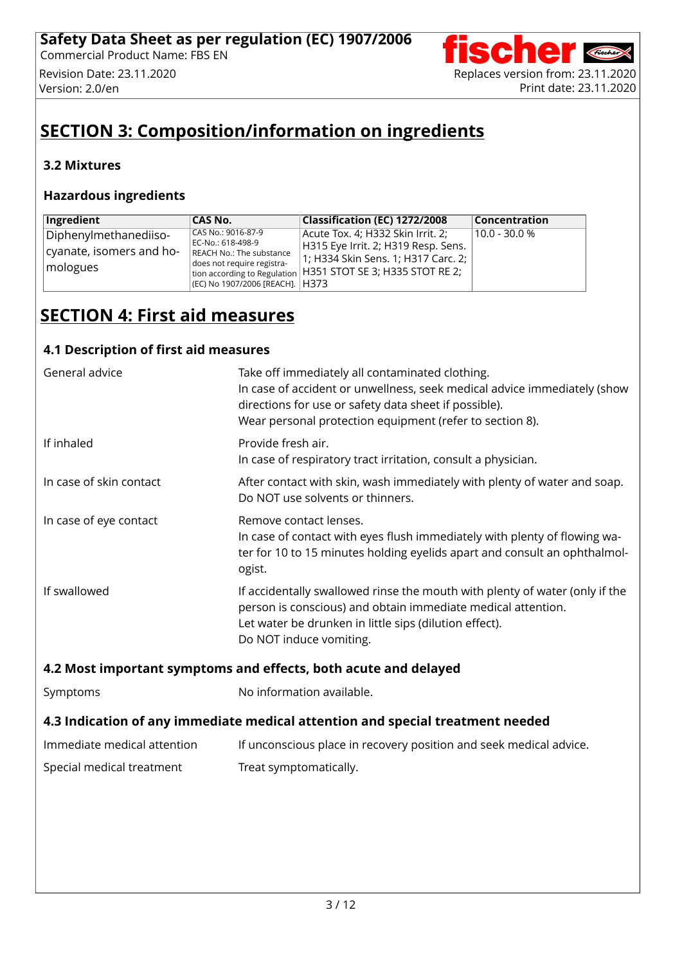

# **SECTION 3: Composition/information on ingredients**

### **3.2 Mixtures**

#### **Hazardous ingredients**

| Ingredient                                                    | CAS No.                                                                                                                              | Classification (EC) 1272/2008                                                                                                                                                       | <b>Concentration</b> |
|---------------------------------------------------------------|--------------------------------------------------------------------------------------------------------------------------------------|-------------------------------------------------------------------------------------------------------------------------------------------------------------------------------------|----------------------|
| Diphenylmethanediiso-<br>cyanate, isomers and ho-<br>mologues | CAS No.: 9016-87-9<br>EC-No.: 618-498-9<br>REACH No.: The substance<br>does not require registra-<br>(EC) No 1907/2006 [REACH]. H373 | Acute Tox. 4; H332 Skin Irrit. 2;<br>H315 Eye Irrit. 2; H319 Resp. Sens.<br>1; H334 Skin Sens. 1; H317 Carc. 2;<br>I tion according to Regulation   H351 STOT SE 3; H335 STOT RE 2; | l 10.0 - 30.0 %      |

# **SECTION 4: First aid measures**

#### **4.1 Description of first aid measures**

| General advice                                                                 | Take off immediately all contaminated clothing.<br>In case of accident or unwellness, seek medical advice immediately (show<br>directions for use or safety data sheet if possible).<br>Wear personal protection equipment (refer to section 8). |  |
|--------------------------------------------------------------------------------|--------------------------------------------------------------------------------------------------------------------------------------------------------------------------------------------------------------------------------------------------|--|
| If inhaled                                                                     | Provide fresh air.<br>In case of respiratory tract irritation, consult a physician.                                                                                                                                                              |  |
| In case of skin contact                                                        | After contact with skin, wash immediately with plenty of water and soap.<br>Do NOT use solvents or thinners.                                                                                                                                     |  |
| In case of eye contact                                                         | Remove contact lenses.<br>In case of contact with eyes flush immediately with plenty of flowing wa-<br>ter for 10 to 15 minutes holding eyelids apart and consult an ophthalmol-<br>ogist.                                                       |  |
| If swallowed                                                                   | If accidentally swallowed rinse the mouth with plenty of water (only if the<br>person is conscious) and obtain immediate medical attention.<br>Let water be drunken in little sips (dilution effect).<br>Do NOT induce vomiting.                 |  |
| 4.2 Most important symptoms and effects, both acute and delayed                |                                                                                                                                                                                                                                                  |  |
| Symptoms                                                                       | No information available.                                                                                                                                                                                                                        |  |
| 4.3 Indication of any immediate medical attention and special treatment needed |                                                                                                                                                                                                                                                  |  |
| Immediate medical attention                                                    | If unconscious place in recovery position and seek medical advice.                                                                                                                                                                               |  |
| Special medical treatment                                                      | Treat symptomatically.                                                                                                                                                                                                                           |  |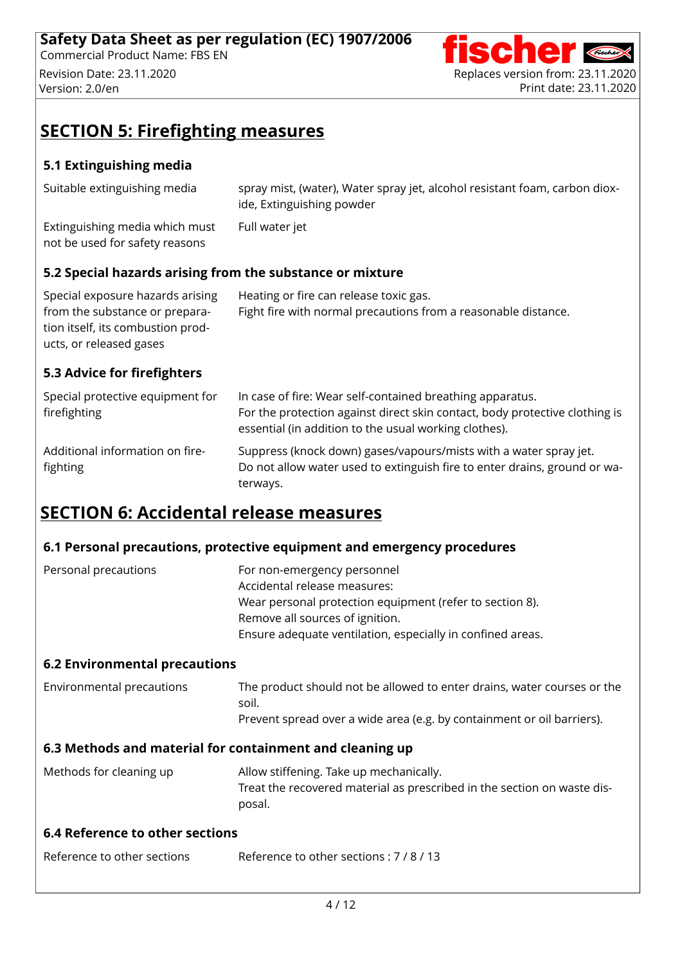

# **SECTION 5: Firefighting measures**

### **5.1 Extinguishing media**

| Suitable extinguishing media                                     | spray mist, (water), Water spray jet, alcohol resistant foam, carbon diox-<br>ide, Extinguishing powder |
|------------------------------------------------------------------|---------------------------------------------------------------------------------------------------------|
| Extinguishing media which must<br>not be used for safety reasons | Full water jet                                                                                          |

### **5.2 Special hazards arising from the substance or mixture**

| Special exposure hazards arising  | Heating or fire can release toxic gas.                         |
|-----------------------------------|----------------------------------------------------------------|
| from the substance or prepara-    | Fight fire with normal precautions from a reasonable distance. |
| tion itself, its combustion prod- |                                                                |
| ucts, or released gases           |                                                                |

#### **5.3 Advice for firefighters**

| Special protective equipment for<br>firefighting | In case of fire: Wear self-contained breathing apparatus.<br>For the protection against direct skin contact, body protective clothing is<br>essential (in addition to the usual working clothes). |
|--------------------------------------------------|---------------------------------------------------------------------------------------------------------------------------------------------------------------------------------------------------|
| Additional information on fire-<br>fighting      | Suppress (knock down) gases/vapours/mists with a water spray jet.<br>Do not allow water used to extinguish fire to enter drains, ground or wa-<br>terways.                                        |

# **SECTION 6: Accidental release measures**

### **6.1 Personal precautions, protective equipment and emergency procedures**

| Personal precautions | For non-emergency personnel                                |
|----------------------|------------------------------------------------------------|
|                      | Accidental release measures:                               |
|                      | Wear personal protection equipment (refer to section 8).   |
|                      | Remove all sources of ignition.                            |
|                      | Ensure adequate ventilation, especially in confined areas. |

#### **6.2 Environmental precautions**

| Environmental precautions | The product should not be allowed to enter drains, water courses or the |
|---------------------------|-------------------------------------------------------------------------|
|                           | soil.                                                                   |
|                           | Prevent spread over a wide area (e.g. by containment or oil barriers).  |
|                           |                                                                         |

#### **6.3 Methods and material for containment and cleaning up**

| Methods for cleaning up | Allow stiffening. Take up mechanically.                                 |
|-------------------------|-------------------------------------------------------------------------|
|                         | Treat the recovered material as prescribed in the section on waste dis- |
|                         | posal.                                                                  |

#### **6.4 Reference to other sections**

Reference to other sections Reference to other sections : 7 / 8 / 13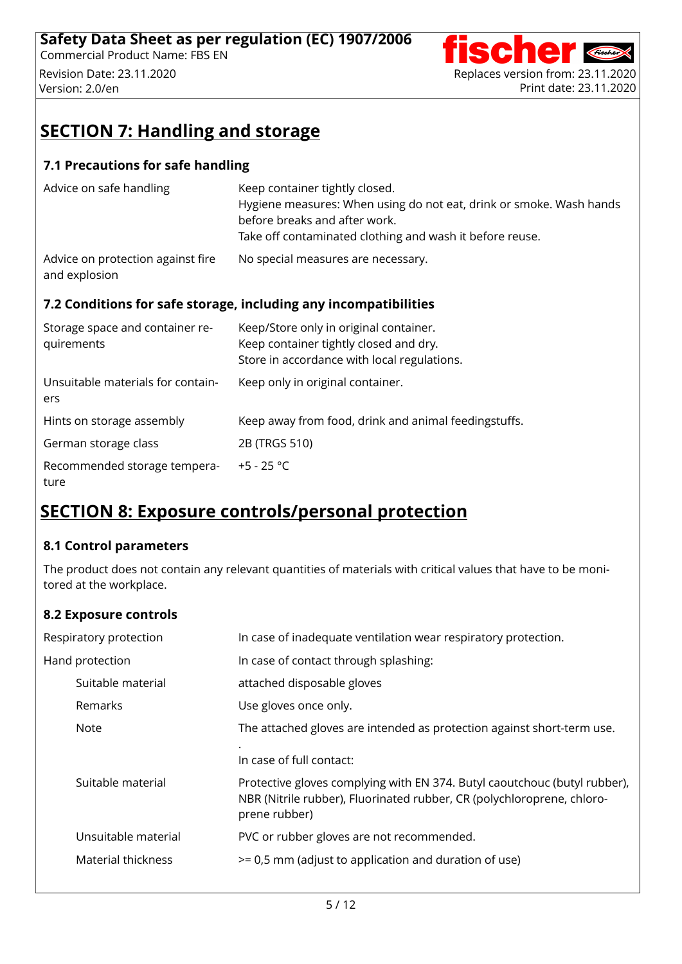

# **SECTION 7: Handling and storage**

#### **7.1 Precautions for safe handling**

| and explosion                     | 7.2 Conditions for safe storage, including any incompatibilities                                      |
|-----------------------------------|-------------------------------------------------------------------------------------------------------|
| Advice on protection against fire | No special measures are necessary.                                                                    |
|                                   | before breaks and after work.<br>Take off contaminated clothing and wash it before reuse.             |
| Advice on safe handling           | Keep container tightly closed.<br>Hygiene measures: When using do not eat, drink or smoke. Wash hands |

| Storage space and container re-<br>quirements | Keep/Store only in original container.<br>Keep container tightly closed and dry.<br>Store in accordance with local regulations. |
|-----------------------------------------------|---------------------------------------------------------------------------------------------------------------------------------|
| Unsuitable materials for contain-<br>ers      | Keep only in original container.                                                                                                |
| Hints on storage assembly                     | Keep away from food, drink and animal feedingstuffs.                                                                            |
| German storage class                          | 2B (TRGS 510)                                                                                                                   |
| Recommended storage tempera-<br>ture          | $+5 - 25 °C$                                                                                                                    |

# **SECTION 8: Exposure controls/personal protection**

#### **8.1 Control parameters**

The product does not contain any relevant quantities of materials with critical values that have to be moni tored at the workplace.

#### **8.2 Exposure controls**

| Respiratory protection | In case of inadequate ventilation wear respiratory protection.                                                                                                       |
|------------------------|----------------------------------------------------------------------------------------------------------------------------------------------------------------------|
| Hand protection        | In case of contact through splashing:                                                                                                                                |
| Suitable material      | attached disposable gloves                                                                                                                                           |
| <b>Remarks</b>         | Use gloves once only.                                                                                                                                                |
| <b>Note</b>            | The attached gloves are intended as protection against short-term use.                                                                                               |
|                        | In case of full contact:                                                                                                                                             |
| Suitable material      | Protective gloves complying with EN 374. Butyl caoutchouc (butyl rubber),<br>NBR (Nitrile rubber), Fluorinated rubber, CR (polychloroprene, chloro-<br>prene rubber) |
| Unsuitable material    | PVC or rubber gloves are not recommended.                                                                                                                            |
| Material thickness     | >= 0,5 mm (adjust to application and duration of use)                                                                                                                |
|                        |                                                                                                                                                                      |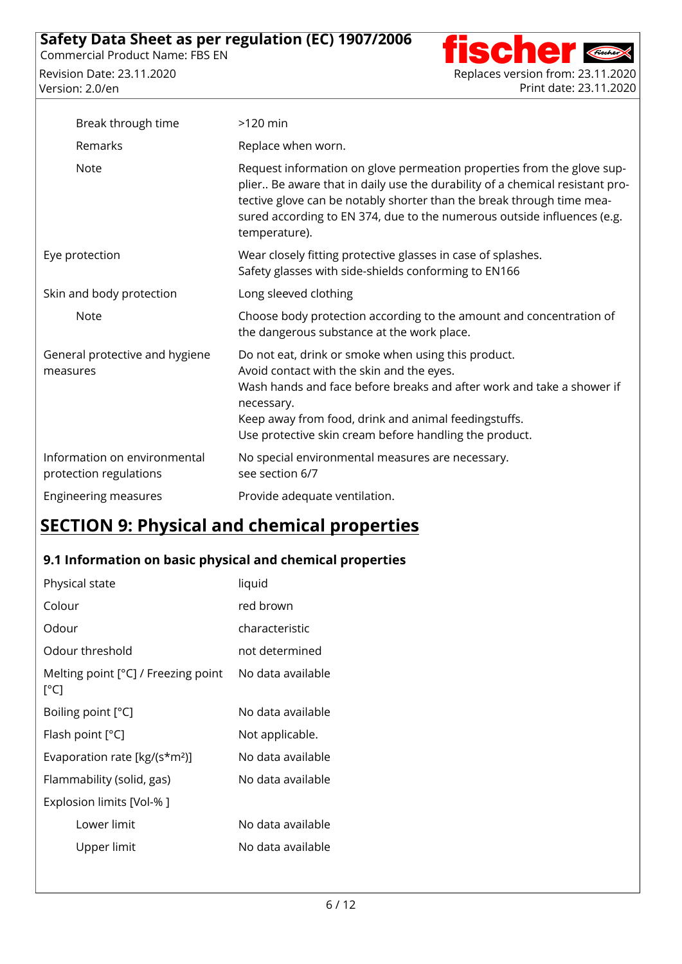

| Break through time                                     | $>120$ min                                                                                                                                                                                                                                                                                                                  |
|--------------------------------------------------------|-----------------------------------------------------------------------------------------------------------------------------------------------------------------------------------------------------------------------------------------------------------------------------------------------------------------------------|
| Remarks                                                | Replace when worn.                                                                                                                                                                                                                                                                                                          |
| <b>Note</b>                                            | Request information on glove permeation properties from the glove sup-<br>plier Be aware that in daily use the durability of a chemical resistant pro-<br>tective glove can be notably shorter than the break through time mea-<br>sured according to EN 374, due to the numerous outside influences (e.g.<br>temperature). |
| Eye protection                                         | Wear closely fitting protective glasses in case of splashes.<br>Safety glasses with side-shields conforming to EN166                                                                                                                                                                                                        |
| Skin and body protection                               | Long sleeved clothing                                                                                                                                                                                                                                                                                                       |
| <b>Note</b>                                            | Choose body protection according to the amount and concentration of<br>the dangerous substance at the work place.                                                                                                                                                                                                           |
| General protective and hygiene<br>measures             | Do not eat, drink or smoke when using this product.<br>Avoid contact with the skin and the eyes.<br>Wash hands and face before breaks and after work and take a shower if<br>necessary.<br>Keep away from food, drink and animal feedingstuffs.<br>Use protective skin cream before handling the product.                   |
| Information on environmental<br>protection regulations | No special environmental measures are necessary.<br>see section 6/7                                                                                                                                                                                                                                                         |
| Engineering measures                                   | Provide adequate ventilation.                                                                                                                                                                                                                                                                                               |

# **SECTION 9: Physical and chemical properties**

### **9.1 Information on basic physical and chemical properties**

| Physical state                                | liquid            |
|-----------------------------------------------|-------------------|
| Colour                                        | red brown         |
| Odour                                         | characteristic    |
| Odour threshold                               | not determined    |
| Melting point $[°C]$ / Freezing point<br>[°C] | No data available |
| Boiling point [°C]                            | No data available |
| Flash point $[°C]$                            | Not applicable.   |
| Evaporation rate [kg/(s*m <sup>2</sup> )]     | No data available |
| Flammability (solid, gas)                     | No data available |
| Explosion limits [Vol-% ]                     |                   |
| I ower limit                                  | No data available |
| Upper limit                                   | No data available |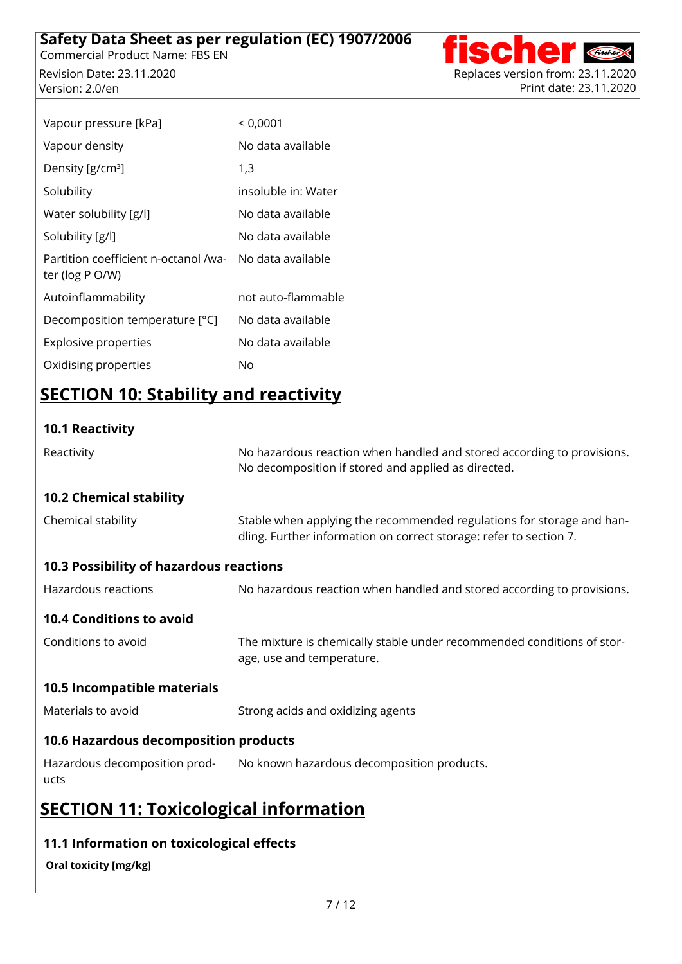Revision Date: 23.11.2020 Replaces version from: 23.11.2020 Version: 2.0/en Print date: 23.11.2020



| < 0,0001            |
|---------------------|
| No data available   |
| 1,3                 |
| insoluble in: Water |
| No data available   |
| No data available   |
| No data available   |
| not auto-flammable  |
| No data available   |
| No data available   |
| No                  |
|                     |

# **SECTION 10: Stability and reactivity**

### **10.1 Reactivity**

| Reactivity                                   | No hazardous reaction when handled and stored according to provisions.<br>No decomposition if stored and applied as directed.               |  |
|----------------------------------------------|---------------------------------------------------------------------------------------------------------------------------------------------|--|
| <b>10.2 Chemical stability</b>               |                                                                                                                                             |  |
| Chemical stability                           | Stable when applying the recommended regulations for storage and han-<br>dling. Further information on correct storage: refer to section 7. |  |
| 10.3 Possibility of hazardous reactions      |                                                                                                                                             |  |
| Hazardous reactions                          | No hazardous reaction when handled and stored according to provisions.                                                                      |  |
| <b>10.4 Conditions to avoid</b>              |                                                                                                                                             |  |
| Conditions to avoid                          | The mixture is chemically stable under recommended conditions of stor-<br>age, use and temperature.                                         |  |
| 10.5 Incompatible materials                  |                                                                                                                                             |  |
| Materials to avoid                           | Strong acids and oxidizing agents                                                                                                           |  |
| 10.6 Hazardous decomposition products        |                                                                                                                                             |  |
| Hazardous decomposition prod-<br>ucts        | No known hazardous decomposition products.                                                                                                  |  |
| <b>SECTION 11: Toxicological information</b> |                                                                                                                                             |  |

### **11.1 Information on toxicological effects**

#### **Oral toxicity [mg/kg]**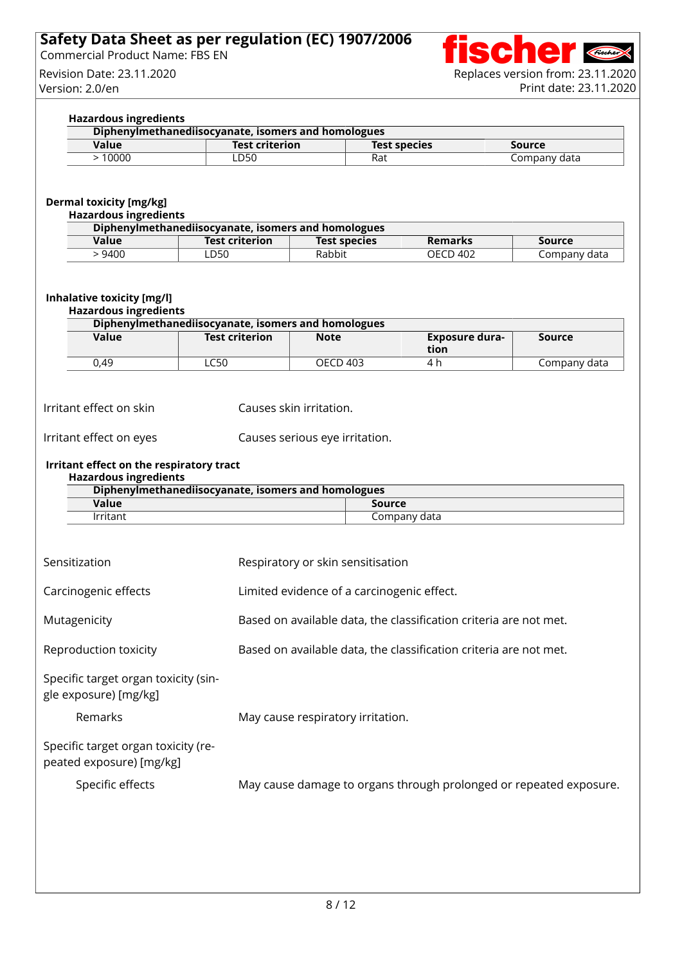#### **Safety Data Sheet as per regulation (EC) 1907/2006** Commercial Product Name: FBS EN ..



#### **Hazardous ingredients**

| Diphenylmethanediisocyanate, isomers and homologues |                       |                     |              |  |
|-----------------------------------------------------|-----------------------|---------------------|--------------|--|
| Value                                               | <b>Test criterion</b> | <b>Test species</b> | Source       |  |
| 10000                                               | LD50                  | Rat                 | Company data |  |

### **Dermal toxicity [mg/kg]**

| <b>Hazardous ingredients</b> |  |
|------------------------------|--|
| Dinhonylmathanodiisesuanate  |  |

| Diphenylmethanediisocyanate, isomers and homologues |                       |                     |                |              |
|-----------------------------------------------------|-----------------------|---------------------|----------------|--------------|
| Value                                               | <b>Test criterion</b> | <b>Test species</b> | <b>Remarks</b> | Source       |
| 9400                                                | LD50                  | Rabbit              | OECD 402       | Company data |

#### **Inhalative toxicity [mg/l]**

#### **Hazardous ingredients**

| Diphenylmethanediisocyanate, isomers and homologues |                       |             |                        |              |
|-----------------------------------------------------|-----------------------|-------------|------------------------|--------------|
| Value                                               | <b>Test criterion</b> | <b>Note</b> | Exposure dura-<br>tion | Source       |
| 0.49                                                | C50-                  | OECD 403    | 4 P                    | Company data |

Irritant effect on skin Causes skin irritation.

Irritant effect on eyes Causes serious eye irritation.

#### **Irritant effect on the respiratory tract Hazardous ingredients**

| Diphenylmethanediisocyanate, isomers and homologues |              |  |
|-----------------------------------------------------|--------------|--|
| Value                                               | Source       |  |
| lrritant                                            | Company data |  |

| Sensitization                                                   | Respiratory or skin sensitisation                                  |
|-----------------------------------------------------------------|--------------------------------------------------------------------|
| Carcinogenic effects                                            | Limited evidence of a carcinogenic effect.                         |
| Mutagenicity                                                    | Based on available data, the classification criteria are not met.  |
| Reproduction toxicity                                           | Based on available data, the classification criteria are not met.  |
| Specific target organ toxicity (sin-<br>gle exposure) [mg/kg]   |                                                                    |
| Remarks                                                         | May cause respiratory irritation.                                  |
| Specific target organ toxicity (re-<br>peated exposure) [mg/kg] |                                                                    |
| Specific effects                                                | May cause damage to organs through prolonged or repeated exposure. |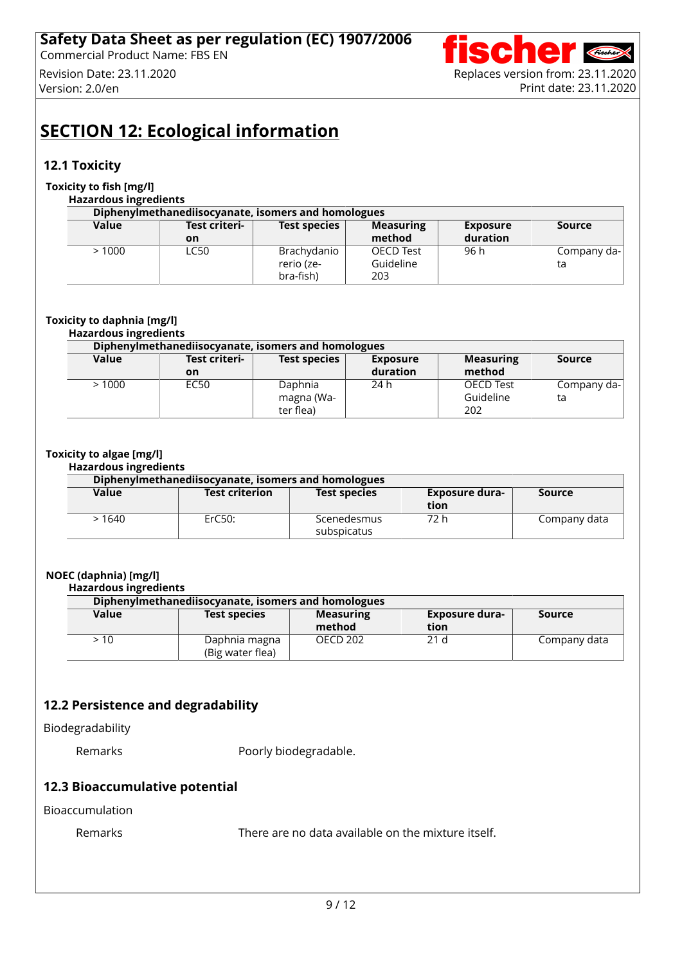

# **SECTION 12: Ecological information**

#### **12.1 Toxicity**

#### **Toxicity to fish [mg/l]**

#### **Hazardous ingredients Diphenylmethanediisocyanate, isomers and homologues Value Test criteri on Test species Measuring method Exposure duration Source** > 1000 LC50 Brachydanio rerio (ze bra-fish) OECD Test Guideline 203 96 h Company data

#### **Toxicity to daphnia [mg/l]**

# **Hazardous ingredients**

| Diphenylmethanediisocyanate, isomers and homologues |               |                     |                 |                  |             |
|-----------------------------------------------------|---------------|---------------------|-----------------|------------------|-------------|
| Value                                               | Test criteri- | <b>Test species</b> | <b>Exposure</b> | <b>Measuring</b> | Source      |
|                                                     | on            |                     | duration        | method           |             |
| >1000                                               | EC50          | Daphnia             | 24 h            | <b>OECD Test</b> | Company da- |
|                                                     |               | magna (Wa-          |                 | Guideline        | ta          |
|                                                     |               | ter flea)           |                 | 202              |             |

#### **Toxicity to algae [mg/l]**

#### **Hazardous ingredients**

| Diphenylmethanediisocyanate, isomers and homologues |                       |                            |                        |              |
|-----------------------------------------------------|-----------------------|----------------------------|------------------------|--------------|
| Value                                               | <b>Test criterion</b> | <b>Test species</b>        | Exposure dura-<br>tion | Source       |
| > 1640                                              | ErC50:                | Scenedesmus<br>subspicatus | 72 h                   | Company data |

#### **NOEC (daphnia) [mg/l]**

#### **Hazardous ingredients**

| Diphenylmethanediisocyanate, isomers and homologues |                                   |                            |                        |               |
|-----------------------------------------------------|-----------------------------------|----------------------------|------------------------|---------------|
| Value                                               | <b>Test species</b>               | <b>Measuring</b><br>method | Exposure dura-<br>tion | <b>Source</b> |
| > 10                                                | Daphnia magna<br>(Big water flea) | <b>OECD 202</b>            | 21 <sub>d</sub>        | Company data  |

### **12.2 Persistence and degradability**

#### Biodegradability

Remarks **Poorly biodegradable.** 

#### **12.3 Bioaccumulative potential**

#### Bioaccumulation

Remarks There are no data available on the mixture itself.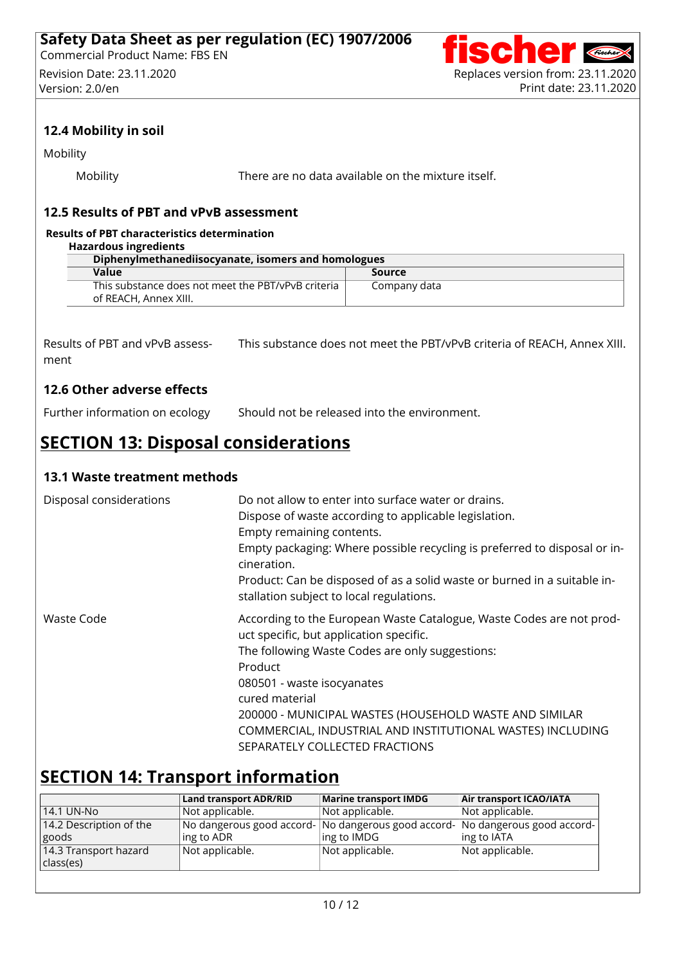

### **12.4 Mobility in soil**

Mobility

Mobility There are no data available on the mixture itself.

#### **12.5 Results of PBT and vPvB assessment**

#### **Results of PBT characteristics determination**

| Hazardous ingredients                                                       |              |  |
|-----------------------------------------------------------------------------|--------------|--|
| Diphenylmethanediisocyanate, isomers and homologues                         |              |  |
| Value                                                                       | Source       |  |
| This substance does not meet the PBT/vPvB criteria<br>of REACH, Annex XIII. | Company data |  |

Results of PBT and vPvB assess ment This substance does not meet the PBT/vPvB criteria of REACH, Annex XIII.

#### **12.6 Other adverse effects**

Further information on ecology Should not be released into the environment.

# **SECTION 13: Disposal considerations**

#### **13.1 Waste treatment methods**

| Disposal considerations | Do not allow to enter into surface water or drains.<br>Dispose of waste according to applicable legislation.<br>Empty remaining contents.<br>Empty packaging: Where possible recycling is preferred to disposal or in-<br>cineration.<br>Product: Can be disposed of as a solid waste or burned in a suitable in-<br>stallation subject to local regulations.                           |
|-------------------------|-----------------------------------------------------------------------------------------------------------------------------------------------------------------------------------------------------------------------------------------------------------------------------------------------------------------------------------------------------------------------------------------|
| Waste Code              | According to the European Waste Catalogue, Waste Codes are not prod-<br>uct specific, but application specific.<br>The following Waste Codes are only suggestions:<br>Product<br>080501 - waste isocyanates<br>cured material<br>200000 - MUNICIPAL WASTES (HOUSEHOLD WASTE AND SIMILAR<br>COMMERCIAL, INDUSTRIAL AND INSTITUTIONAL WASTES) INCLUDING<br>SEPARATELY COLLECTED FRACTIONS |

## **SECTION 14: Transport information**

|                           | <b>Land transport ADR/RID</b>                                                 | Marine transport IMDG | Air transport ICAO/IATA |
|---------------------------|-------------------------------------------------------------------------------|-----------------------|-------------------------|
| 14.1 UN-No                | Not applicable.                                                               | Not applicable.       | Not applicable.         |
| $14.2$ Description of the | No dangerous good accord- No dangerous good accord- No dangerous good accord- |                       |                         |
| goods                     | ing to ADR                                                                    | ing to IMDG           | $\ln g$ to IATA         |
| 14.3 Transport hazard     | Not applicable.                                                               | Not applicable.       | Not applicable.         |
| class(es)                 |                                                                               |                       |                         |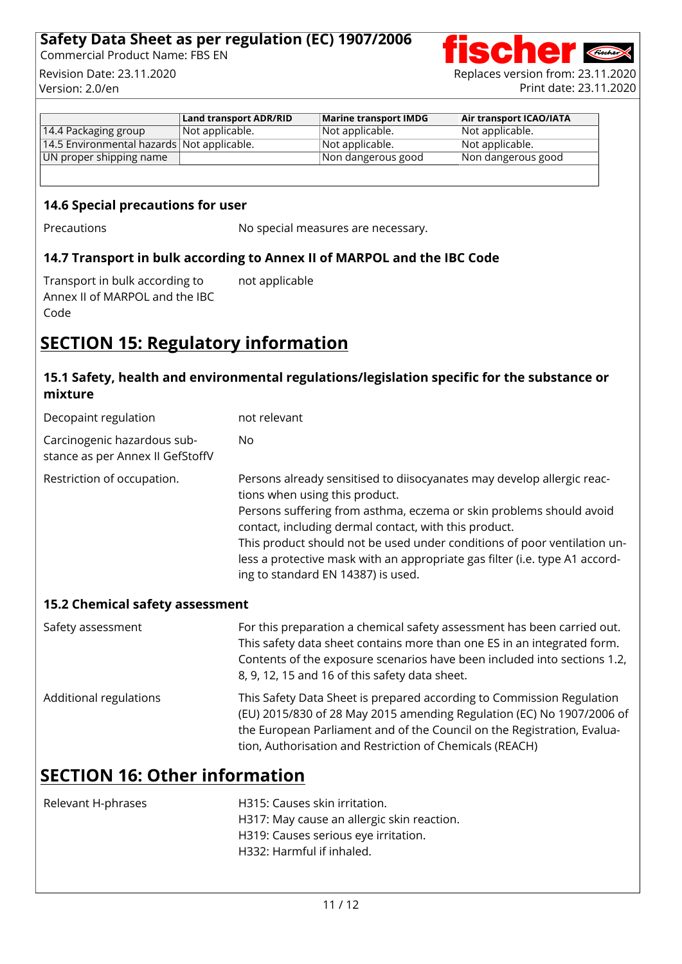#### **Safety Data Sheet as per regulation (EC) 1907/2006** Commercial Product Name: FBS EN ..



|                                            | <b>Land transport ADR/RID</b> | Marine transport IMDG   | Air transport ICAO/IATA |
|--------------------------------------------|-------------------------------|-------------------------|-------------------------|
| 14.4 Packaging group                       | $\vert$ Not applicable.       | $\vert$ Not applicable. | Not applicable.         |
| 14.5 Environmental hazards Not applicable. |                               | $\vert$ Not applicable. | $\vert$ Not applicable. |
| UN proper shipping name                    |                               | Non dangerous good      | Non dangerous good      |

#### **14.6 Special precautions for user**

Precautions **No special measures are necessary.** 

#### **14.7 Transport in bulk according to Annex II of MARPOL and the IBC Code**

Transport in bulk according to Annex II of MARPOL and the IBC Code not applicable

# **SECTION 15: Regulatory information**

### **15.1 Safety, health and environmental regulations/legislation specific for the substance or mixture**

| Decopaint regulation                                            | not relevant                                                                                                                                                                                                                                                                                                                                                                                                                              |
|-----------------------------------------------------------------|-------------------------------------------------------------------------------------------------------------------------------------------------------------------------------------------------------------------------------------------------------------------------------------------------------------------------------------------------------------------------------------------------------------------------------------------|
| Carcinogenic hazardous sub-<br>stance as per Annex II GefStoffV | No.                                                                                                                                                                                                                                                                                                                                                                                                                                       |
| Restriction of occupation.                                      | Persons already sensitised to diisocyanates may develop allergic reac-<br>tions when using this product.<br>Persons suffering from asthma, eczema or skin problems should avoid<br>contact, including dermal contact, with this product.<br>This product should not be used under conditions of poor ventilation un-<br>less a protective mask with an appropriate gas filter (i.e. type A1 accord-<br>ing to standard EN 14387) is used. |
| 15.2 Chemical safety assessment                                 |                                                                                                                                                                                                                                                                                                                                                                                                                                           |
| Safety assessment                                               | For this preparation a chemical safety assessment has been carried out.<br>This safety data sheet contains more than one ES in an integrated form.<br>Contents of the exposure scenarios have been included into sections 1.2,<br>8, 9, 12, 15 and 16 of this safety data sheet.                                                                                                                                                          |
| Additional regulations                                          | This Safety Data Sheet is prepared according to Commission Regulation<br>(EU) 2015/830 of 28 May 2015 amending Regulation (EC) No 1907/2006 of<br>the European Parliament and of the Council on the Registration, Evalua-<br>tion, Authorisation and Restriction of Chemicals (REACH)                                                                                                                                                     |

# **SECTION 16: Other information**

| Relevant H-phrases | H315: Causes skin irritation.              |
|--------------------|--------------------------------------------|
|                    | H317: May cause an allergic skin reaction. |
|                    | H319: Causes serious eye irritation.       |
|                    | H332: Harmful if inhaled.                  |
|                    |                                            |